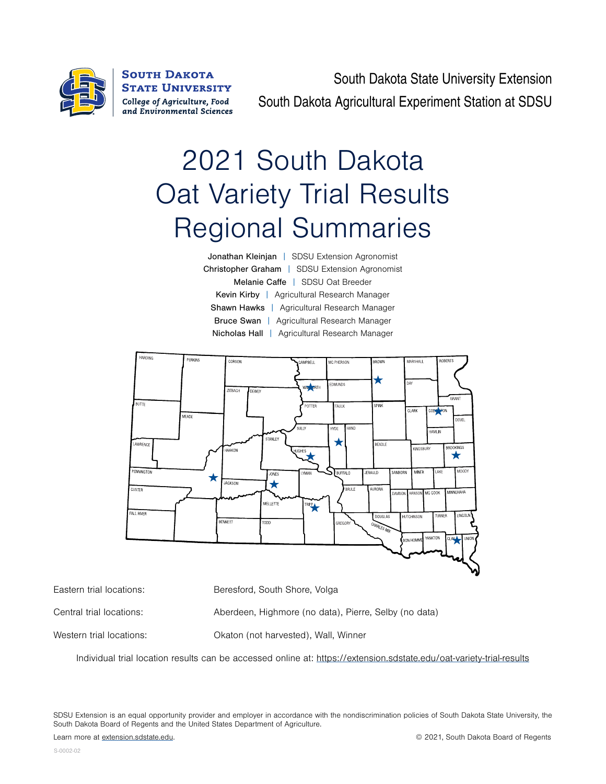

**SOUTH DAKOTA STATE UNIVERSITY** College of Agriculture, Food and Environmental Sciences

South Dakota State University Extension South Dakota Agricultural Experiment Station at SDSU

# 2021 South Dakota Oat Variety Trial Results Regional Summaries

| <b>Jonathan Kleinjan</b>   SDSU Extension Agronomist |
|------------------------------------------------------|
| Christopher Graham   SDSU Extension Agronomist       |
| Melanie Caffe   SDSU Oat Breeder                     |
| Kevin Kirby   Agricultural Research Manager          |
| <b>Shawn Hawks</b>   Agricultural Research Manager   |
| <b>Bruce Swan</b>   Agricultural Research Manager    |
| Nicholas Hall   Agricultural Research Manager        |



Eastern trial locations: Beresford, South Shore, Volga

Central trial locations: Aberdeen, Highmore (no data), Pierre, Selby (no data)

Western trial locations: Okaton (not harvested), Wall, Winner

Individual trial location results can be accessed online at: <https://extension.sdstate.edu/oat-variety-trial-results>

SDSU Extension is an equal opportunity provider and employer in accordance with the nondiscrimination policies of South Dakota State University, the South Dakota Board of Regents and the United States Department of Agriculture.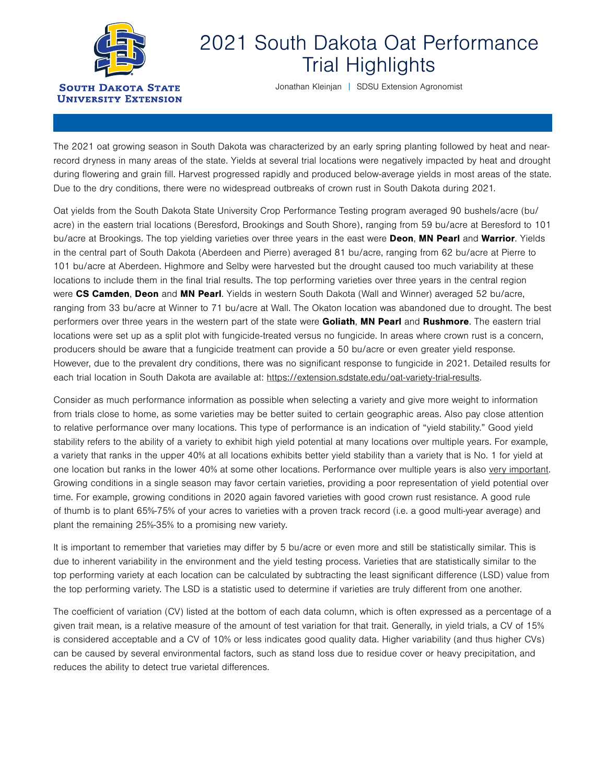

## 2021 South Dakota Oat Performance Trial Highlights

Jonathan Kleinjan | SDSU Extension Agronomist

The 2021 oat growing season in South Dakota was characterized by an early spring planting followed by heat and nearrecord dryness in many areas of the state. Yields at several trial locations were negatively impacted by heat and drought during flowering and grain fill. Harvest progressed rapidly and produced below-average yields in most areas of the state. Due to the dry conditions, there were no widespread outbreaks of crown rust in South Dakota during 2021.

Oat yields from the South Dakota State University Crop Performance Testing program averaged 90 bushels/acre (bu/ acre) in the eastern trial locations (Beresford, Brookings and South Shore), ranging from 59 bu/acre at Beresford to 101 bu/acre at Brookings. The top yielding varieties over three years in the east were Deon, MN Pearl and Warrior. Yields in the central part of South Dakota (Aberdeen and Pierre) averaged 81 bu/acre, ranging from 62 bu/acre at Pierre to 101 bu/acre at Aberdeen. Highmore and Selby were harvested but the drought caused too much variability at these locations to include them in the final trial results. The top performing varieties over three years in the central region were CS Camden, Deon and MN Pearl. Yields in western South Dakota (Wall and Winner) averaged 52 bu/acre, ranging from 33 bu/acre at Winner to 71 bu/acre at Wall. The Okaton location was abandoned due to drought. The best performers over three years in the western part of the state were Goliath, MN Pearl and Rushmore. The eastern trial locations were set up as a split plot with fungicide-treated versus no fungicide. In areas where crown rust is a concern, producers should be aware that a fungicide treatment can provide a 50 bu/acre or even greater yield response. However, due to the prevalent dry conditions, there was no significant response to fungicide in 2021. Detailed results for each trial location in South Dakota are available at: [https://extension.sdstate.edu/oat-variety-trial-results.](https://extension.sdstate.edu/oat-variety-trial-results)

Consider as much performance information as possible when selecting a variety and give more weight to information from trials close to home, as some varieties may be better suited to certain geographic areas. Also pay close attention to relative performance over many locations. This type of performance is an indication of "yield stability." Good yield stability refers to the ability of a variety to exhibit high yield potential at many locations over multiple years. For example, a variety that ranks in the upper 40% at all locations exhibits better yield stability than a variety that is No. 1 for yield at one location but ranks in the lower 40% at some other locations. Performance over multiple years is also very important. Growing conditions in a single season may favor certain varieties, providing a poor representation of yield potential over time. For example, growing conditions in 2020 again favored varieties with good crown rust resistance. A good rule of thumb is to plant 65%-75% of your acres to varieties with a proven track record (i.e. a good multi-year average) and plant the remaining 25%-35% to a promising new variety.

It is important to remember that varieties may differ by 5 bu/acre or even more and still be statistically similar. This is due to inherent variability in the environment and the yield testing process. Varieties that are statistically similar to the top performing variety at each location can be calculated by subtracting the least significant difference (LSD) value from the top performing variety. The LSD is a statistic used to determine if varieties are truly different from one another.

The coefficient of variation (CV) listed at the bottom of each data column, which is often expressed as a percentage of a given trait mean, is a relative measure of the amount of test variation for that trait. Generally, in yield trials, a CV of 15% is considered acceptable and a CV of 10% or less indicates good quality data. Higher variability (and thus higher CVs) can be caused by several environmental factors, such as stand loss due to residue cover or heavy precipitation, and reduces the ability to detect true varietal differences.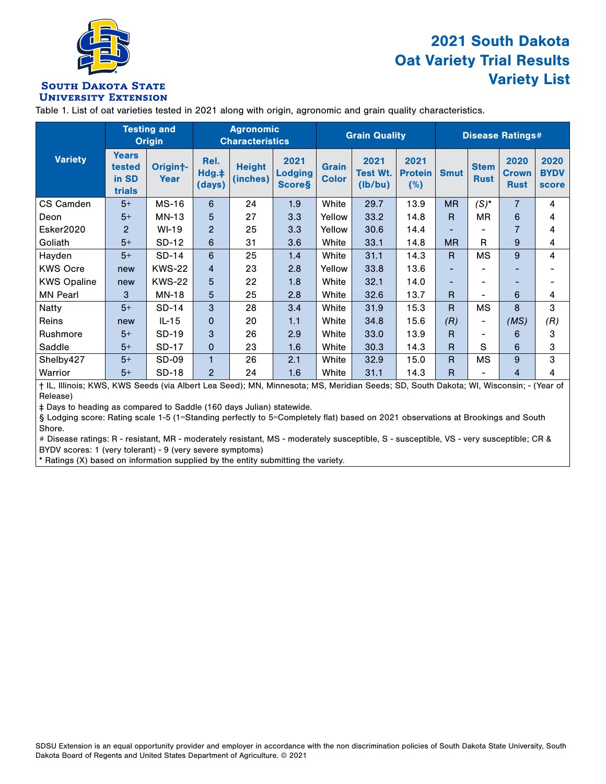

### 2021 South Dakota Oat Variety Trial Results Variety List

#### **SOUTH DAKOTA STATE UNIVERSITY EXTENSION**

Table 1. List of oat varieties tested in 2021 along with origin, agronomic and grain quality characteristics.

|                    |                                           | <b>Testing and</b><br><b>Origin</b> |                         | <b>Agronomic</b><br><b>Characteristics</b> |                                         |                              | <b>Grain Quality</b>               |                               |              | <b>Disease Ratings#</b>    |                                     |                                     |  |
|--------------------|-------------------------------------------|-------------------------------------|-------------------------|--------------------------------------------|-----------------------------------------|------------------------------|------------------------------------|-------------------------------|--------------|----------------------------|-------------------------------------|-------------------------------------|--|
| <b>Variety</b>     | <b>Years</b><br>tested<br>in SD<br>trials | Origin <sup>+</sup> -<br>Year       | Rel.<br>Hdg.‡<br>(days) | <b>Height</b><br>(inches)                  | 2021<br><b>Lodging</b><br><b>Score§</b> | <b>Grain</b><br><b>Color</b> | 2021<br><b>Test Wt.</b><br>(lb/bu) | 2021<br><b>Protein</b><br>(%) | <b>Smut</b>  | <b>Stem</b><br><b>Rust</b> | 2020<br><b>Crown</b><br><b>Rust</b> | 2020<br><b>BYDV</b><br><b>score</b> |  |
| CS Camden          | $5+$                                      | <b>MS-16</b>                        | 6                       | 24                                         | 1.9                                     | White                        | 29.7                               | 13.9                          | <b>MR</b>    | $(S)^*$                    | $\overline{7}$                      | 4                                   |  |
| Deon               | $5+$                                      | $MN-13$                             | 5                       | 27                                         | 3.3                                     | Yellow                       | 33.2                               | 14.8                          | $\mathsf{R}$ | <b>MR</b>                  | 6                                   | 4                                   |  |
| Esker2020          | $\overline{2}$                            | $WI-19$                             | $\overline{c}$          | 25                                         | 3.3                                     | Yellow                       | 30.6                               | 14.4                          |              |                            | $\overline{7}$                      | 4                                   |  |
| Goliath            | $5+$                                      | SD-12                               | 6                       | 31                                         | 3.6                                     | White                        | 33.1                               | 14.8                          | <b>MR</b>    | R                          | 9                                   | 4                                   |  |
| Hayden             | $5+$                                      | $SD-14$                             | 6                       | 25                                         | 1.4                                     | White                        | 31.1                               | 14.3                          | $\mathsf{R}$ | <b>MS</b>                  | 9                                   | 4                                   |  |
| <b>KWS Ocre</b>    | new                                       | <b>KWS-22</b>                       | 4                       | 23                                         | 2.8                                     | Yellow                       | 33.8                               | 13.6                          | -            |                            | ٠                                   |                                     |  |
| <b>KWS Opaline</b> | new                                       | <b>KWS-22</b>                       | 5                       | 22                                         | 1.8                                     | White                        | 32.1                               | 14.0                          | -            |                            | ٠                                   |                                     |  |
| <b>MN Pearl</b>    | 3                                         | MN-18                               | 5                       | 25                                         | 2.8                                     | White                        | 32.6                               | 13.7                          | R            | $\overline{\phantom{a}}$   | 6                                   | 4                                   |  |
| <b>Natty</b>       | $5+$                                      | SD-14                               | 3                       | 28                                         | 3.4                                     | White                        | 31.9                               | 15.3                          | $\mathsf{R}$ | MS                         | 8                                   | 3                                   |  |
| Reins              | new                                       | $IL-15$                             | $\mathbf 0$             | 20                                         | 1.1                                     | White                        | 34.8                               | 15.6                          | (R)          | $\overline{\phantom{a}}$   | (MS)                                | (R)                                 |  |
| Rushmore           | $5+$                                      | SD-19                               | 3                       | 26                                         | 2.9                                     | White                        | 33.0                               | 13.9                          | R            |                            | 6                                   | 3                                   |  |
| Saddle             | $5+$                                      | <b>SD-17</b>                        | 0                       | 23                                         | 1.6                                     | White                        | 30.3                               | 14.3                          | $\mathsf{R}$ | S                          | 6                                   | 3                                   |  |
| Shelby427          | $5+$                                      | SD-09                               | 1                       | 26                                         | 2.1                                     | White                        | 32.9                               | 15.0                          | $\mathsf{R}$ | MS                         | 9                                   | 3                                   |  |
| Warrior            | $5+$                                      | <b>SD-18</b>                        | $\overline{2}$          | 24                                         | 1.6                                     | White                        | 31.1                               | 14.3                          | R            |                            | 4                                   | 4                                   |  |

† IL, Illinois; KWS, KWS Seeds (via Albert Lea Seed); MN, Minnesota; MS, Meridian Seeds; SD, South Dakota; WI, Wisconsin; - (Year of Release)

‡ Days to heading as compared to Saddle (160 days Julian) statewide.

§ Lodging score: Rating scale 1-5 (1=Standing perfectly to 5=Completely flat) based on 2021 observations at Brookings and South Shore.

# Disease ratings: R - resistant, MR - moderately resistant, MS - moderately susceptible, S - susceptible, VS - very susceptible; CR & BYDV scores: 1 (very tolerant) - 9 (very severe symptoms)

\* Ratings (X) based on information supplied by the entity submitting the variety.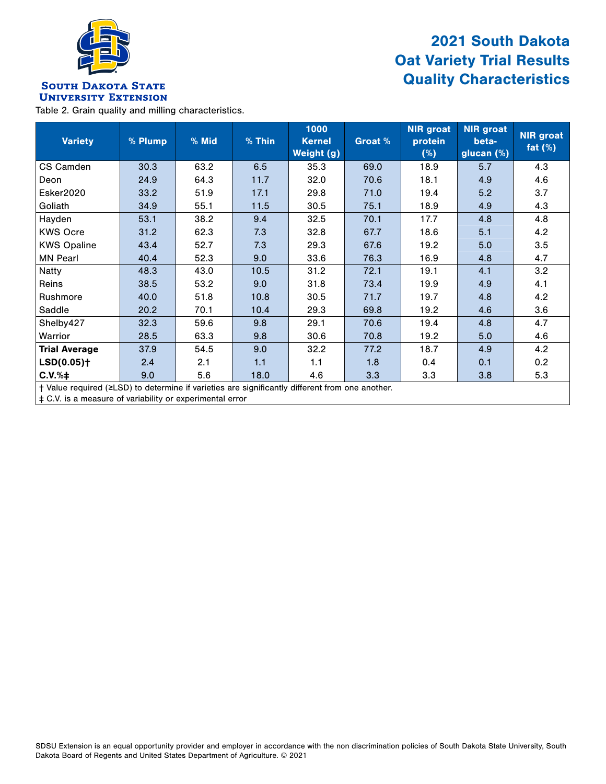

### 2021 South Dakota Oat Variety Trial Results Quality Characteristics

#### **SOUTH DAKOTA STATE UNIVERSITY EXTENSION**

Table 2. Grain quality and milling characteristics.

| <b>Variety</b>                                                                                  | % Plump | % Mid | % Thin | 1000<br><b>Kernel</b><br>Weight (g) | Groat % | <b>NIR</b> groat<br>protein<br>(%) | <b>NIR</b> groat<br>beta-<br>glucan $(\%)$ | <b>NIR</b> groat<br>fat $(\%)$ |  |
|-------------------------------------------------------------------------------------------------|---------|-------|--------|-------------------------------------|---------|------------------------------------|--------------------------------------------|--------------------------------|--|
| CS Camden                                                                                       | 30.3    | 63.2  | 6.5    | 35.3                                | 69.0    | 18.9                               | 5.7                                        | 4.3                            |  |
| Deon                                                                                            | 24.9    | 64.3  | 11.7   | 32.0                                | 70.6    | 18.1                               | 4.9                                        | 4.6                            |  |
| Esker2020                                                                                       | 33.2    | 51.9  | 17.1   | 29.8                                | 71.0    | 19.4                               | 5.2                                        | 3.7                            |  |
| Goliath                                                                                         | 34.9    | 55.1  | 11.5   | 30.5                                | 75.1    | 18.9                               | 4.9                                        | 4.3                            |  |
| Hayden                                                                                          | 53.1    | 38.2  | 9.4    | 32.5                                | 70.1    | 17.7                               | 4.8                                        | 4.8                            |  |
| <b>KWS Ocre</b>                                                                                 | 31.2    | 62.3  | 7.3    | 32.8                                | 67.7    | 18.6                               | 5.1                                        | 4.2                            |  |
| <b>KWS Opaline</b>                                                                              | 43.4    | 52.7  | 7.3    | 29.3                                | 67.6    | 19.2                               | 5.0                                        | 3.5                            |  |
| <b>MN Pearl</b>                                                                                 | 40.4    | 52.3  | 9.0    | 33.6                                | 76.3    | 16.9                               | 4.8                                        | 4.7                            |  |
| <b>Natty</b>                                                                                    | 48.3    | 43.0  | 10.5   | 31.2                                | 72.1    | 19.1                               | 4.1                                        | 3.2                            |  |
| Reins                                                                                           | 38.5    | 53.2  | 9.0    | 31.8                                | 73.4    | 19.9                               | 4.9                                        | 4.1                            |  |
| Rushmore                                                                                        | 40.0    | 51.8  | 10.8   | 30.5                                | 71.7    | 19.7                               | 4.8                                        | 4.2                            |  |
| Saddle                                                                                          | 20.2    | 70.1  | 10.4   | 29.3                                | 69.8    | 19.2                               | 4.6                                        | 3.6                            |  |
| Shelby427                                                                                       | 32.3    | 59.6  | 9.8    | 29.1                                | 70.6    | 19.4                               | 4.8                                        | 4.7                            |  |
| Warrior                                                                                         | 28.5    | 63.3  | 9.8    | 30.6                                | 70.8    | 19.2                               | 5.0                                        | 4.6                            |  |
| <b>Trial Average</b>                                                                            | 37.9    | 54.5  | 9.0    | 32.2                                | 77.2    | 18.7                               | 4.9                                        | 4.2                            |  |
| $LSD(0.05)$ <sup>+</sup>                                                                        | 2.4     | 2.1   | 1.1    | 1.1                                 | 1.8     | 0.4                                | 0.1                                        | 0.2                            |  |
| $C.V.% \dagger$                                                                                 | 9.0     | 5.6   | 18.0   | 4.6                                 | 3.3     | 3.3                                | 3.8                                        | 5.3                            |  |
| † Value required (≥LSD) to determine if varieties are significantly different from one another. |         |       |        |                                     |         |                                    |                                            |                                |  |

‡ C.V. is a measure of variability or experimental error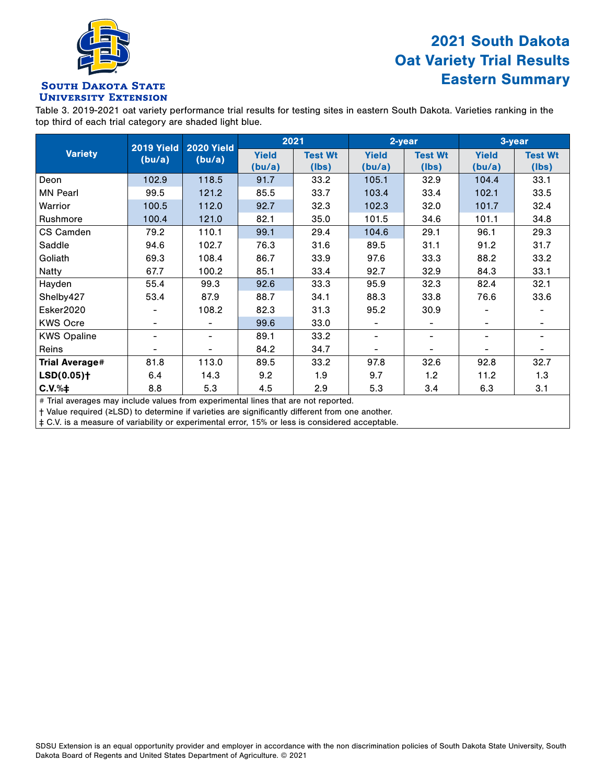

### 2021 South Dakota Oat Variety Trial Results Eastern Summary

#### **SOUTH DAKOTA STATE UNIVERSITY EXTENSION**

Table 3. 2019-2021 oat variety performance trial results for testing sites in eastern South Dakota. Varieties ranking in the top third of each trial category are shaded light blue.

|                          | <b>2019 Yield</b><br>(bu/a) | <b>2020 Yield</b><br>(bu/a)  |              | 2021           | 2-year       |                | 3-year       |                |
|--------------------------|-----------------------------|------------------------------|--------------|----------------|--------------|----------------|--------------|----------------|
| <b>Variety</b>           |                             |                              | <b>Yield</b> | <b>Test Wt</b> | <b>Yield</b> | <b>Test Wt</b> | <b>Yield</b> | <b>Test Wt</b> |
|                          |                             |                              | (bu/a)       | (lbs)          | (bu/a)       | (lbs)          | (bu/a)       | (Ibs)          |
| Deon                     | 102.9                       | 118.5                        | 91.7         | 33.2           | 105.1        | 32.9           | 104.4        | 33.1           |
| <b>MN Pearl</b>          | 99.5                        | 121.2                        | 85.5         | 33.7           | 103.4        | 33.4           | 102.1        | 33.5           |
| Warrior                  | 100.5                       | 112.0                        | 92.7         | 32.3           | 102.3        | 32.0           | 101.7        | 32.4           |
| Rushmore                 | 100.4                       | 121.0                        | 82.1         | 35.0           | 101.5        | 34.6           | 101.1        | 34.8           |
| CS Camden                | 79.2                        | 110.1                        | 99.1         | 29.4           | 104.6        | 29.1           | 96.1         | 29.3           |
| Saddle                   | 94.6                        | 102.7                        | 76.3         | 31.6           | 89.5         | 31.1           | 91.2         | 31.7           |
| Goliath                  | 69.3                        | 108.4                        | 86.7         | 33.9           | 97.6         | 33.3           | 88.2         | 33.2           |
| <b>Natty</b>             | 67.7                        | 100.2                        | 85.1         | 33.4           | 92.7         | 32.9           | 84.3         | 33.1           |
| Hayden                   | 55.4                        | 99.3                         | 92.6         | 33.3           | 95.9         | 32.3           | 82.4         | 32.1           |
| Shelby427                | 53.4                        | 87.9                         | 88.7         | 34.1           | 88.3         | 33.8           | 76.6         | 33.6           |
| Esker2020                |                             | 108.2                        | 82.3         | 31.3           | 95.2         | 30.9           |              |                |
| <b>KWS Ocre</b>          |                             |                              | 99.6         | 33.0           |              |                |              |                |
| <b>KWS Opaline</b>       |                             | $\qquad \qquad \blacksquare$ | 89.1         | 33.2           |              | -              |              |                |
| <b>Reins</b>             |                             |                              | 84.2         | 34.7           |              |                |              |                |
| <b>Trial Average#</b>    | 81.8                        | 113.0                        | 89.5         | 33.2           | 97.8         | 32.6           | 92.8         | 32.7           |
| $LSD(0.05)$ <sup>+</sup> | 6.4                         | 14.3                         | 9.2          | 1.9            | 9.7          | 1.2            | 11.2         | 1.3            |
| $C.V.$ % $\ddagger$      | 8.8                         | 5.3                          | 4.5          | 2.9            | 5.3          | 3.4            | 6.3          | 3.1            |

# Trial averages may include values from experimental lines that are not reported.

† Value required (≥LSD) to determine if varieties are significantly different from one another.

‡ C.V. is a measure of variability or experimental error, 15% or less is considered acceptable.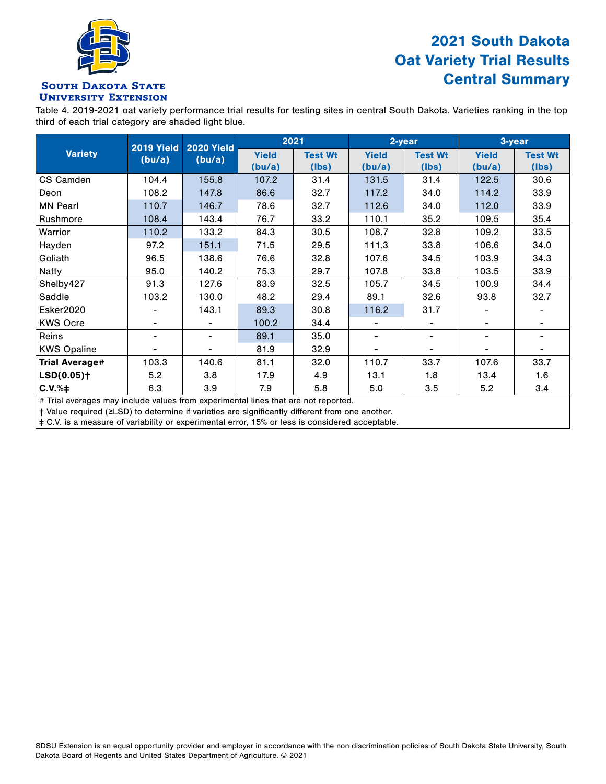

### 2021 South Dakota Oat Variety Trial Results Central Summary

#### **SOUTH DAKOTA STATE UNIVERSITY EXTENSION**

Table 4. 2019-2021 oat variety performance trial results for testing sites in central South Dakota. Varieties ranking in the top third of each trial category are shaded light blue.

|                          | <b>2019 Yield</b><br>(bu/a) | <b>2020 Yield</b><br>(bu/a)  |              | 2021           | 2-year       |                | 3-year       |                |
|--------------------------|-----------------------------|------------------------------|--------------|----------------|--------------|----------------|--------------|----------------|
| <b>Variety</b>           |                             |                              | <b>Yield</b> | <b>Test Wt</b> | <b>Yield</b> | <b>Test Wt</b> | <b>Yield</b> | <b>Test Wt</b> |
|                          |                             |                              | (bu/a)       | (lbs)          | (bu/a)       | (lbs)          | (bu/a)       | (Ibs)          |
| CS Camden                | 104.4                       | 155.8                        | 107.2        | 31.4           | 131.5        | 31.4           | 122.5        | 30.6           |
| Deon                     | 108.2                       | 147.8                        | 86.6         | 32.7           | 117.2        | 34.0           | 114.2        | 33.9           |
| <b>MN Pearl</b>          | 110.7                       | 146.7                        | 78.6         | 32.7           | 112.6        | 34.0           | 112.0        | 33.9           |
| Rushmore                 | 108.4                       | 143.4                        | 76.7         | 33.2           | 110.1        | 35.2           | 109.5        | 35.4           |
| Warrior                  | 110.2                       | 133.2                        | 84.3         | 30.5           | 108.7        | 32.8           | 109.2        | 33.5           |
| Hayden                   | 97.2                        | 151.1                        | 71.5         | 29.5           | 111.3        | 33.8           | 106.6        | 34.0           |
| Goliath                  | 96.5                        | 138.6                        | 76.6         | 32.8           | 107.6        | 34.5           | 103.9        | 34.3           |
| <b>Natty</b>             | 95.0                        | 140.2                        | 75.3         | 29.7           | 107.8        | 33.8           | 103.5        | 33.9           |
| Shelby427                | 91.3                        | 127.6                        | 83.9         | 32.5           | 105.7        | 34.5           | 100.9        | 34.4           |
| Saddle                   | 103.2                       | 130.0                        | 48.2         | 29.4           | 89.1         | 32.6           | 93.8         | 32.7           |
| Esker2020                |                             | 143.1                        | 89.3         | 30.8           | 116.2        | 31.7           |              |                |
| <b>KWS Ocre</b>          |                             | $\qquad \qquad \blacksquare$ | 100.2        | 34.4           |              | -              |              |                |
| Reins                    |                             | $\qquad \qquad \blacksquare$ | 89.1         | 35.0           |              | -              |              |                |
| <b>KWS Opaline</b>       |                             | $\overline{\phantom{a}}$     | 81.9         | 32.9           |              |                |              |                |
| <b>Trial Average#</b>    | 103.3                       | 140.6                        | 81.1         | 32.0           | 110.7        | 33.7           | 107.6        | 33.7           |
| $LSD(0.05)$ <sup>+</sup> | 5.2                         | 3.8                          | 17.9         | 4.9            | 13.1         | 1.8            | 13.4         | 1.6            |
| $C.V.% \dagger$          | 6.3                         | 3.9                          | 7.9          | 5.8            | 5.0          | 3.5            | 5.2          | 3.4            |

# Trial averages may include values from experimental lines that are not reported.

† Value required (≥LSD) to determine if varieties are significantly different from one another.

‡ C.V. is a measure of variability or experimental error, 15% or less is considered acceptable.